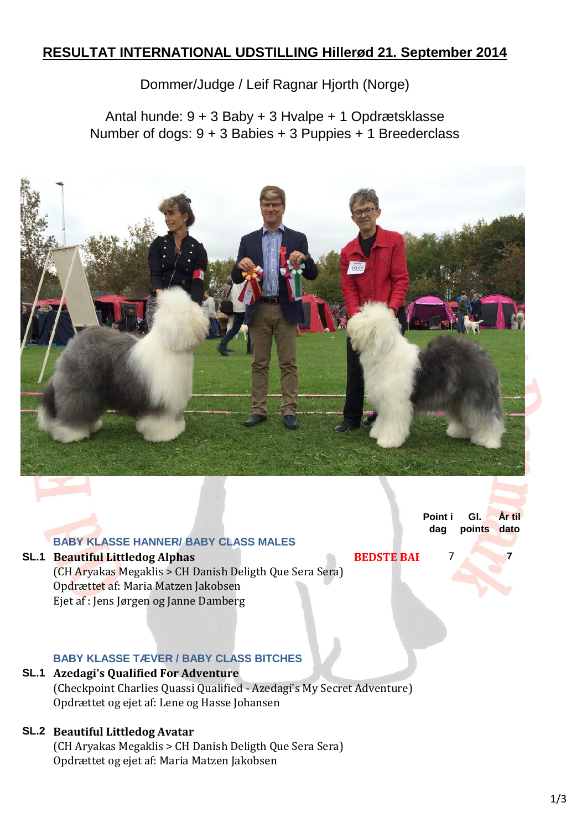# **RESULTAT INTERNATIONAL UDSTILLING Hillerød 21. September 2014**

Dommer/Judge / Leif Ragnar Hjorth (Norge)

Antal hunde: 9 + 3 Baby + 3 Hvalpe + 1 Opdrætsklasse Number of dogs: 9 + 3 Babies + 3 Puppies + 1 Breederclass



**Point i dag Gl. points dato År til** 

#### **SL.1 Beautiful Littledog Alphas BEDSTE BAI** 7 (CH Aryakas Megaklis > CH Danish Deligth Que Sera Sera) Opdrættet af: Maria Matzen Jakobsen

**BABY KLASSE HANNER/ BABY CLASS MALES**

Ejet af : Jens Jørgen og Janne Damberg

### **BABY KLASSE TÆVER / BABY CLASS BITCHES**

## **SL.1 Azedagi's Qualified For Adventure**

(Checkpoint Charlies Quassi Qualified - Azedagi's My Secret Adventure) Opdrættet og ejet af: Lene og Hasse Johansen

## **SL.2 Beautiful Littledog Avatar**

(CH Aryakas Megaklis > CH Danish Deligth Que Sera Sera) Opdrættet og ejet af: Maria Matzen Jakobsen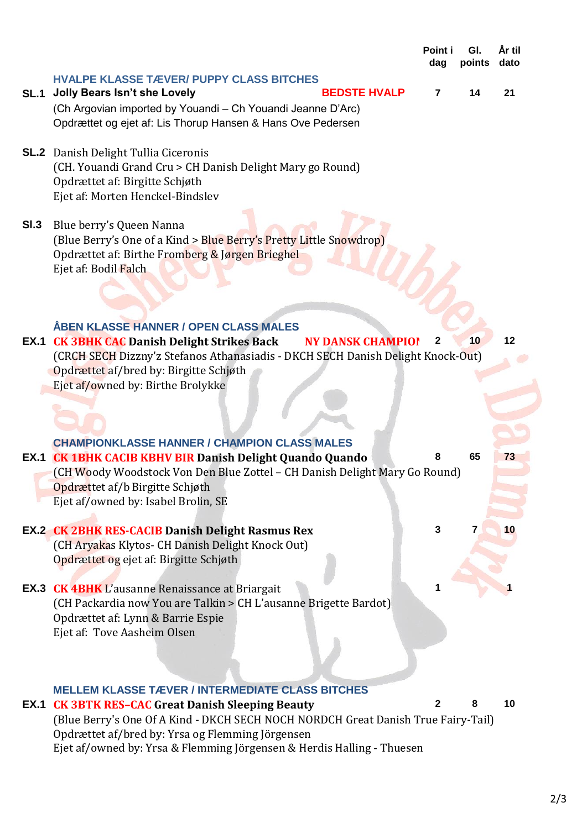|      |                                                                                                                                                                                                                                                                                                                                   | Point i<br>dag | GI.<br>points | År til<br>dato |
|------|-----------------------------------------------------------------------------------------------------------------------------------------------------------------------------------------------------------------------------------------------------------------------------------------------------------------------------------|----------------|---------------|----------------|
| SL.1 | <b>HVALPE KLASSE TÆVER/ PUPPY CLASS BITCHES</b><br><b>BEDSTE HVALP</b><br><b>Jolly Bears Isn't she Lovely</b><br>(Ch Argovian imported by Youandi - Ch Youandi Jeanne D'Arc)<br>Opdrættet og ejet af: Lis Thorup Hansen & Hans Ove Pedersen                                                                                       | $\overline{7}$ | 14            | 21             |
|      | <b>SL.2</b> Danish Delight Tullia Ciceronis<br>(CH. Youandi Grand Cru > CH Danish Delight Mary go Round)<br>Opdrættet af: Birgitte Schjøth<br>Ejet af: Morten Henckel-Bindslev                                                                                                                                                    |                |               |                |
| SI.3 | Blue berry's Queen Nanna<br>(Blue Berry's One of a Kind > Blue Berry's Pretty Little Snowdrop)<br>Opdrættet af: Birthe Fromberg & Jørgen Brieghel<br>Ejet af: Bodil Falch                                                                                                                                                         |                |               |                |
|      | ÅBEN KLASSE HANNER / OPEN CLASS MALES<br><b>EX.1 CK 3BHK CAC Danish Delight Strikes Back</b><br><b>NY DANSK CHAMPIO!</b><br>(CRCH SECH Dizzny'z Stefanos Athanasiadis - DKCH SECH Danish Delight Knock-Out)<br>Opdrættet af/bred by: Birgitte Schjøth<br>Ejet af/owned by: Birthe Brolykke                                        | 2              | 10            | 12             |
|      | <b>CHAMPIONKLASSE HANNER / CHAMPION CLASS MALES</b><br><b>EX.1 CK 1BHK CACIB KBHV BIR Danish Delight Quando Quando</b><br>(CH Woody Woodstock Von Den Blue Zottel - CH Danish Delight Mary Go Round)<br>Opdrættet af/b Birgitte Schjøth<br>Ejet af/owned by: Isabel Brolin, SE                                                    | 8              | 65            | 73             |
|      | <b>EX.2 CK 2BHK RES-CACIB Danish Delight Rasmus Rex</b><br>(CH Aryakas Klytos- CH Danish Delight Knock Out)<br>Opdrættet og ejet af: Birgitte Schjøth                                                                                                                                                                             | 3              |               | 10             |
|      | <b>EX.3 CK 4BHK</b> L'ausanne Renaissance at Briargait<br>(CH Packardia now You are Talkin > CH L'ausanne Brigette Bardot)<br>Opdrættet af: Lynn & Barrie Espie<br>Ejet af: Tove Aasheim Olsen                                                                                                                                    | 1              |               |                |
| EX.1 | <b>MELLEM KLASSE TÆVER / INTERMEDIATE CLASS BITCHES</b><br><b>CK 3BTK RES-CAC Great Danish Sleeping Beauty</b><br>(Blue Berry's One Of A Kind - DKCH SECH NOCH NORDCH Great Danish True Fairy-Tail)<br>Opdrættet af/bred by: Yrsa og Flemming Jörgensen<br>Ejet af/owned by: Yrsa & Flemming Jörgensen & Herdis Halling - Thuesen | 2              | 8             | 10             |

2/3